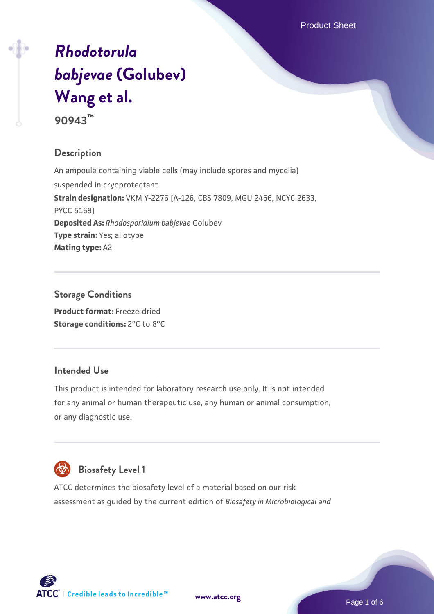# *[Rhodotorula](https://www.atcc.org/products/90943) [babjevae](https://www.atcc.org/products/90943)* **[\(Golubev\)](https://www.atcc.org/products/90943) [Wang et al.](https://www.atcc.org/products/90943)**

**90943™**

# **Description**

An ampoule containing viable cells (may include spores and mycelia) suspended in cryoprotectant. **Strain designation:** VKM Y-2276 [A-126, CBS 7809, MGU 2456, NCYC 2633, PYCC 5169] **Deposited As:** *Rhodosporidium babjevae* Golubev **Type strain:** Yes; allotype **Mating type:** A2

**Storage Conditions Product format:** Freeze-dried **Storage conditions:** 2°C to 8°C

#### **Intended Use**

This product is intended for laboratory research use only. It is not intended for any animal or human therapeutic use, any human or animal consumption, or any diagnostic use.



# **Biosafety Level 1**

ATCC determines the biosafety level of a material based on our risk assessment as guided by the current edition of *Biosafety in Microbiological and*



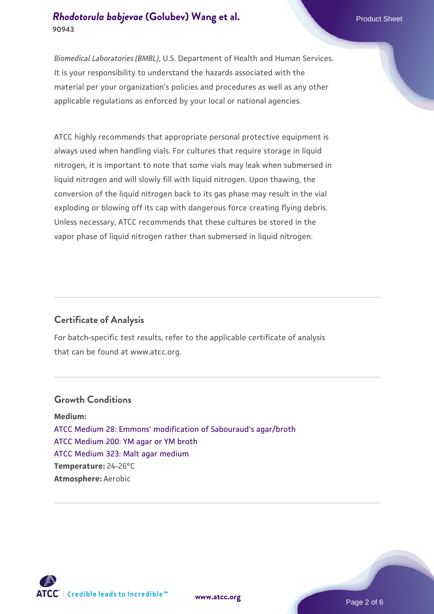*Biomedical Laboratories (BMBL)*, U.S. Department of Health and Human Services. It is your responsibility to understand the hazards associated with the material per your organization's policies and procedures as well as any other applicable regulations as enforced by your local or national agencies.

ATCC highly recommends that appropriate personal protective equipment is always used when handling vials. For cultures that require storage in liquid nitrogen, it is important to note that some vials may leak when submersed in liquid nitrogen and will slowly fill with liquid nitrogen. Upon thawing, the conversion of the liquid nitrogen back to its gas phase may result in the vial exploding or blowing off its cap with dangerous force creating flying debris. Unless necessary, ATCC recommends that these cultures be stored in the vapor phase of liquid nitrogen rather than submersed in liquid nitrogen.

# **Certificate of Analysis**

For batch-specific test results, refer to the applicable certificate of analysis that can be found at www.atcc.org.

#### **Growth Conditions**

**Medium:**  [ATCC Medium 28: Emmons' modification of Sabouraud's agar/broth](https://www.atcc.org/-/media/product-assets/documents/microbial-media-formulations/2/8/atcc-medium-28.pdf?rev=0da0c58cc2a343eeae735016b70809bb) [ATCC Medium 200: YM agar or YM broth](https://www.atcc.org/-/media/product-assets/documents/microbial-media-formulations/2/0/0/atcc-medium-200.pdf?rev=ac40fd74dc13433a809367b0b9da30fc) [ATCC Medium 323: Malt agar medium](https://www.atcc.org/-/media/product-assets/documents/microbial-media-formulations/3/2/3/atcc-medium-323.pdf?rev=58d6457ee20149d7a1c844947569ef92) **Temperature:** 24-26°C **Atmosphere:** Aerobic

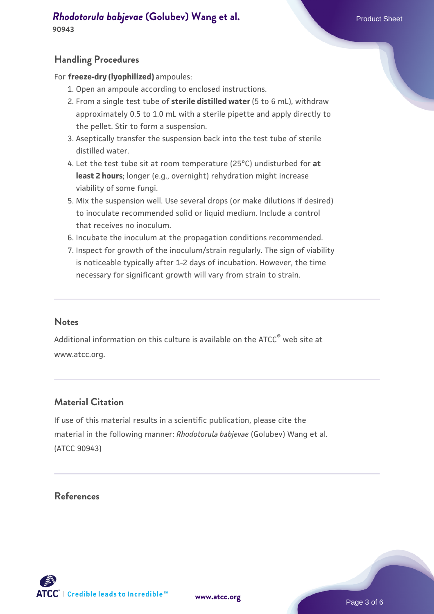**90943**

# **Handling Procedures**

For **freeze-dry (lyophilized)** ampoules:

- 1. Open an ampoule according to enclosed instructions.
- 2. From a single test tube of **sterile distilled water** (5 to 6 mL), withdraw approximately 0.5 to 1.0 mL with a sterile pipette and apply directly to the pellet. Stir to form a suspension.
- 3. Aseptically transfer the suspension back into the test tube of sterile distilled water.
- Let the test tube sit at room temperature (25°C) undisturbed for **at** 4. **least 2 hours**; longer (e.g., overnight) rehydration might increase viability of some fungi.
- Mix the suspension well. Use several drops (or make dilutions if desired) 5. to inoculate recommended solid or liquid medium. Include a control that receives no inoculum.
- 6. Incubate the inoculum at the propagation conditions recommended.
- 7. Inspect for growth of the inoculum/strain regularly. The sign of viability is noticeable typically after 1-2 days of incubation. However, the time necessary for significant growth will vary from strain to strain.

#### **Notes**

Additional information on this culture is available on the ATCC® web site at www.atcc.org.

# **Material Citation**

If use of this material results in a scientific publication, please cite the material in the following manner: *Rhodotorula babjevae* (Golubev) Wang et al. (ATCC 90943)

#### **References**



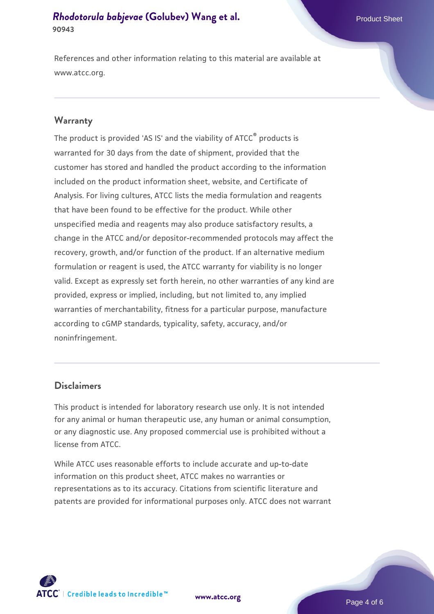References and other information relating to this material are available at www.atcc.org.

#### **Warranty**

The product is provided 'AS IS' and the viability of ATCC® products is warranted for 30 days from the date of shipment, provided that the customer has stored and handled the product according to the information included on the product information sheet, website, and Certificate of Analysis. For living cultures, ATCC lists the media formulation and reagents that have been found to be effective for the product. While other unspecified media and reagents may also produce satisfactory results, a change in the ATCC and/or depositor-recommended protocols may affect the recovery, growth, and/or function of the product. If an alternative medium formulation or reagent is used, the ATCC warranty for viability is no longer valid. Except as expressly set forth herein, no other warranties of any kind are provided, express or implied, including, but not limited to, any implied warranties of merchantability, fitness for a particular purpose, manufacture according to cGMP standards, typicality, safety, accuracy, and/or noninfringement.

#### **Disclaimers**

This product is intended for laboratory research use only. It is not intended for any animal or human therapeutic use, any human or animal consumption, or any diagnostic use. Any proposed commercial use is prohibited without a license from ATCC.

While ATCC uses reasonable efforts to include accurate and up-to-date information on this product sheet, ATCC makes no warranties or representations as to its accuracy. Citations from scientific literature and patents are provided for informational purposes only. ATCC does not warrant

**[www.atcc.org](http://www.atcc.org)**



Page 4 of 6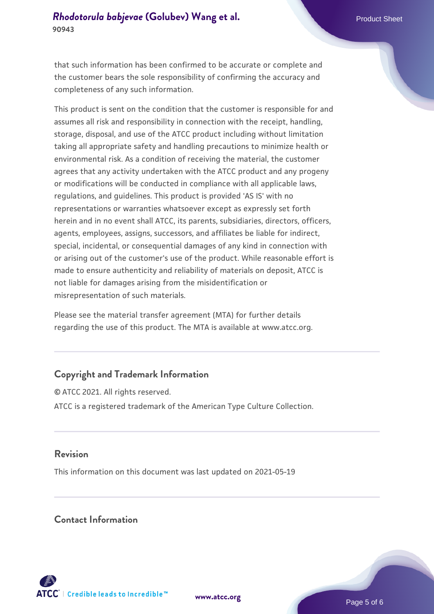that such information has been confirmed to be accurate or complete and the customer bears the sole responsibility of confirming the accuracy and completeness of any such information.

This product is sent on the condition that the customer is responsible for and assumes all risk and responsibility in connection with the receipt, handling, storage, disposal, and use of the ATCC product including without limitation taking all appropriate safety and handling precautions to minimize health or environmental risk. As a condition of receiving the material, the customer agrees that any activity undertaken with the ATCC product and any progeny or modifications will be conducted in compliance with all applicable laws, regulations, and guidelines. This product is provided 'AS IS' with no representations or warranties whatsoever except as expressly set forth herein and in no event shall ATCC, its parents, subsidiaries, directors, officers, agents, employees, assigns, successors, and affiliates be liable for indirect, special, incidental, or consequential damages of any kind in connection with or arising out of the customer's use of the product. While reasonable effort is made to ensure authenticity and reliability of materials on deposit, ATCC is not liable for damages arising from the misidentification or misrepresentation of such materials.

Please see the material transfer agreement (MTA) for further details regarding the use of this product. The MTA is available at www.atcc.org.

#### **Copyright and Trademark Information**

© ATCC 2021. All rights reserved. ATCC is a registered trademark of the American Type Culture Collection.

### **Revision**

This information on this document was last updated on 2021-05-19

### **Contact Information**



**[www.atcc.org](http://www.atcc.org)**